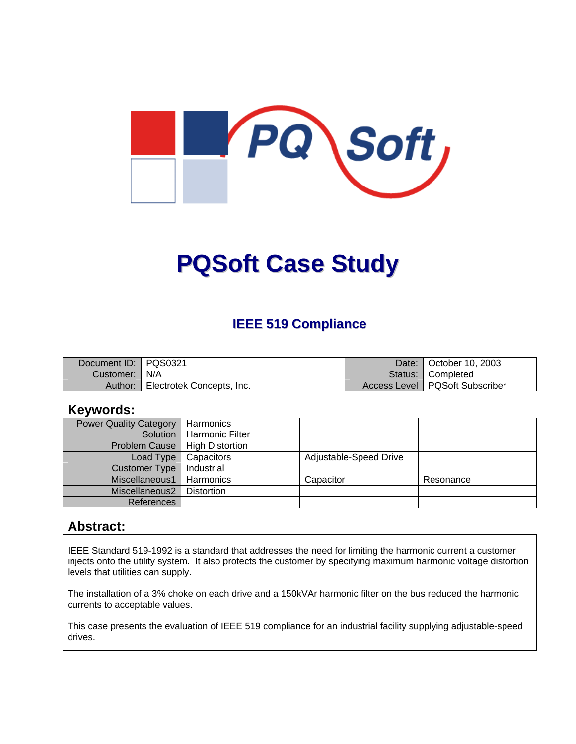

# **PQSoft Case Study**

#### **IEEE 519 Compliance**

| Document ID:   PQS0321 |                           | Date: I | October 10, 2003                 |
|------------------------|---------------------------|---------|----------------------------------|
| Customer:   N/A        |                           |         | Status: Completed                |
| Author:                | Electrotek Concepts, Inc. |         | Access Level   PQSoft Subscriber |

#### **Keywords:**

| <b>Power Quality Category</b> | Harmonics              |                        |           |
|-------------------------------|------------------------|------------------------|-----------|
| Solution                      | <b>Harmonic Filter</b> |                        |           |
| <b>Problem Cause</b>          | <b>High Distortion</b> |                        |           |
| Load Type                     | Capacitors             | Adjustable-Speed Drive |           |
| <b>Customer Type</b>          | Industrial             |                        |           |
| Miscellaneous1                | Harmonics              | Capacitor              | Resonance |
| Miscellaneous2                | <b>Distortion</b>      |                        |           |
| References                    |                        |                        |           |

#### **Abstract:**

IEEE Standard 519-1992 is a standard that addresses the need for limiting the harmonic current a customer injects onto the utility system. It also protects the customer by specifying maximum harmonic voltage distortion levels that utilities can supply.

The installation of a 3% choke on each drive and a 150kVAr harmonic filter on the bus reduced the harmonic currents to acceptable values.

This case presents the evaluation of IEEE 519 compliance for an industrial facility supplying adjustable-speed drives.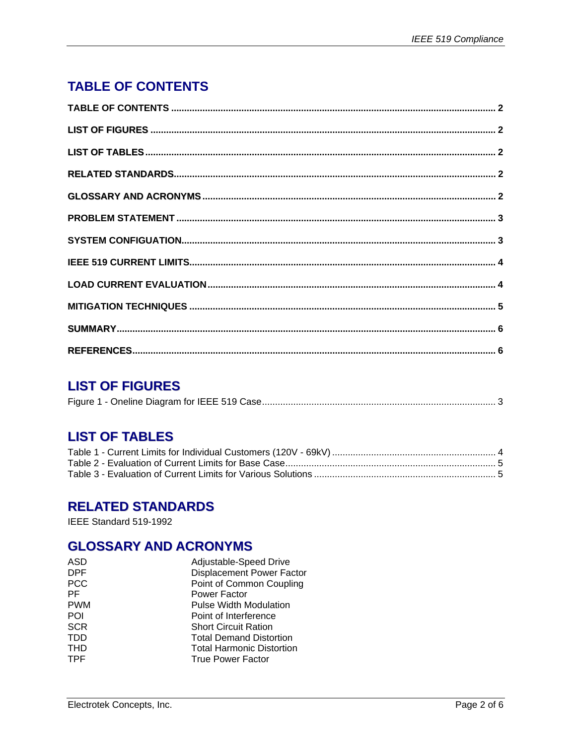# <span id="page-1-0"></span>**TABLE OF CONTENTS**

#### **LIST OF FIGURES**

|--|--|--|

## **LIST OF TABLES**

#### **RELATED STANDARDS**

IEEE Standard 519-1992

## **GLOSSARY AND ACRONYMS**

| ASD        | Adjustable-Speed Drive           |
|------------|----------------------------------|
| <b>DPF</b> | <b>Displacement Power Factor</b> |
| <b>PCC</b> | Point of Common Coupling         |
| PF         | Power Factor                     |
| <b>PWM</b> | <b>Pulse Width Modulation</b>    |
| POI        | Point of Interference            |
| <b>SCR</b> | <b>Short Circuit Ration</b>      |
| <b>TDD</b> | <b>Total Demand Distortion</b>   |
| <b>THD</b> | <b>Total Harmonic Distortion</b> |
| <b>TPF</b> | <b>True Power Factor</b>         |
|            |                                  |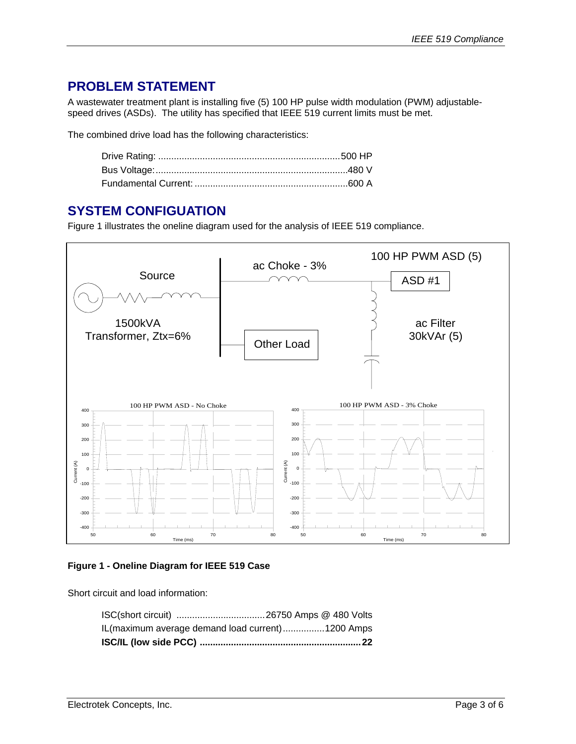#### <span id="page-2-0"></span>**PROBLEM STATEMENT**

A wastewater treatment plant is installing five (5) 100 HP pulse width modulation (PWM) adjustablespeed drives (ASDs). The utility has specified that IEEE 519 current limits must be met.

The combined drive load has the following characteristics:

#### **SYSTEM CONFIGUATION**

[Figure 1](#page-2-1) illustrates the oneline diagram used for the analysis of IEEE 519 compliance.



#### <span id="page-2-1"></span>**Figure 1 - Oneline Diagram for IEEE 519 Case**

Short circuit and load information:

| IL (maximum average demand load current)1200 Amps |  |
|---------------------------------------------------|--|
|                                                   |  |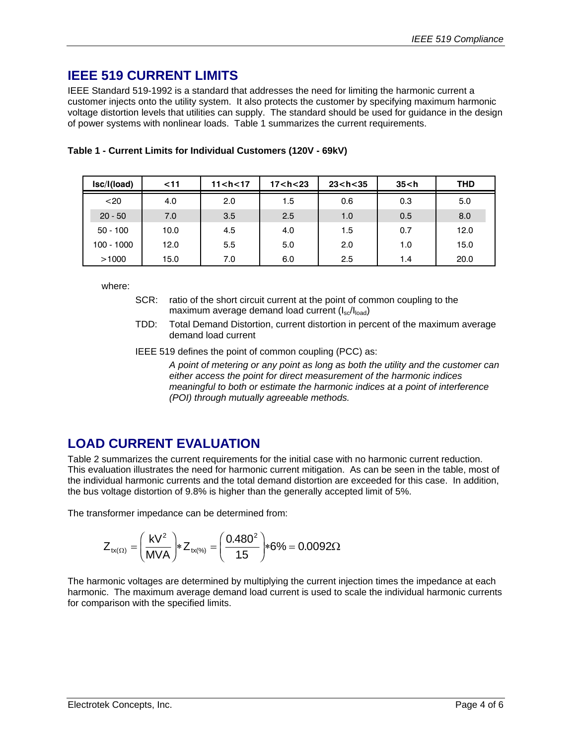#### <span id="page-3-0"></span>**IEEE 519 CURRENT LIMITS**

IEEE Standard 519-1992 is a standard that addresses the need for limiting the harmonic current a customer injects onto the utility system. It also protects the customer by specifying maximum harmonic voltage distortion levels that utilities can supply. The standard should be used for guidance in the design of power systems with nonlinear loads. [Table 1](#page-3-1) summarizes the current requirements.

| Isc/I(load) | $11$ | 11 < h < 17 | 17 < h < 23 | 23 < h < 35 | 35 < h | THD  |
|-------------|------|-------------|-------------|-------------|--------|------|
| $20$        | 4.0  | 2.0         | 1.5         | 0.6         | 0.3    | 5.0  |
| $20 - 50$   | 7.0  | 3.5         | 2.5         | 1.0         | 0.5    | 8.0  |
| $50 - 100$  | 10.0 | 4.5         | 4.0         | 1.5         | 0.7    | 12.0 |
| 100 - 1000  | 12.0 | 5.5         | 5.0         | 2.0         | 1.0    | 15.0 |
| >1000       | 15.0 | 7.0         | 6.0         | 2.5         | 1.4    | 20.0 |

<span id="page-3-1"></span>

|  |  | Table 1 - Current Limits for Individual Customers (120V - 69kV) |
|--|--|-----------------------------------------------------------------|
|--|--|-----------------------------------------------------------------|

where:

- SCR: ratio of the short circuit current at the point of common coupling to the maximum average demand load current  $(I_{\rm sc}/I_{\rm load})$
- TDD: Total Demand Distortion, current distortion in percent of the maximum average demand load current

IEEE 519 defines the point of common coupling (PCC) as:

*A point of metering or any point as long as both the utility and the customer can either access the point for direct measurement of the harmonic indices meaningful to both or estimate the harmonic indices at a point of interference (POI) through mutually agreeable methods.* 

#### **LOAD CURRENT EVALUATION**

[Table 2](#page-4-1) summarizes the current requirements for the initial case with no harmonic current reduction. This evaluation illustrates the need for harmonic current mitigation. As can be seen in the table, most of the individual harmonic currents and the total demand distortion are exceeded for this case. In addition, the bus voltage distortion of 9.8% is higher than the generally accepted limit of 5%.

The transformer impedance can be determined from:

$$
Z_{tx(\Omega)} = \left(\frac{kV^2}{MVA}\right) * Z_{tx(\%)} = \left(\frac{0.480^2}{1.5}\right) * 6\% = 0.0092\Omega
$$

The harmonic voltages are determined by multiplying the current injection times the impedance at each harmonic. The maximum average demand load current is used to scale the individual harmonic currents for comparison with the specified limits.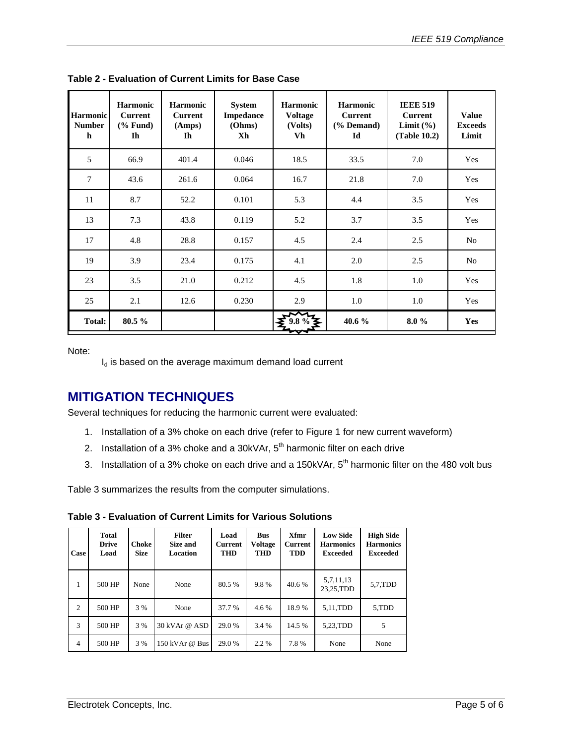| Harmonic<br><b>Number</b><br>$\mathbf h$ | <b>Harmonic</b><br><b>Current</b><br>$(% \mathbf{A})$ (% Fund)<br>$\mathbf{I}$ | <b>Harmonic</b><br><b>Current</b><br>(Amps)<br>Ih | <b>System</b><br><b>Impedance</b><br>(Ohms)<br>Xh | <b>Harmonic</b><br><b>Voltage</b><br>(Volts)<br>Vh | <b>Harmonic</b><br><b>Current</b><br>$(% \mathbf{A})$ (% Demand)<br>Id | <b>IEEE 519</b><br><b>Current</b><br>Limit $(\% )$<br>(Table 10.2) | <b>Value</b><br><b>Exceeds</b><br>Limit |
|------------------------------------------|--------------------------------------------------------------------------------|---------------------------------------------------|---------------------------------------------------|----------------------------------------------------|------------------------------------------------------------------------|--------------------------------------------------------------------|-----------------------------------------|
| 5                                        | 66.9                                                                           | 401.4                                             | 0.046                                             | 18.5                                               | 33.5                                                                   | 7.0                                                                | Yes                                     |
| 7                                        | 43.6                                                                           | 261.6                                             | 0.064                                             | 16.7                                               | 21.8                                                                   | 7.0                                                                | Yes                                     |
| 11                                       | 8.7                                                                            | 52.2                                              | 0.101                                             | 5.3                                                | 4.4                                                                    | 3.5                                                                | Yes                                     |
| 13                                       | 7.3                                                                            | 43.8                                              | 0.119                                             | 5.2                                                | 3.7                                                                    | 3.5                                                                | Yes                                     |
| 17                                       | 4.8                                                                            | 28.8                                              | 0.157                                             | 4.5                                                | 2.4                                                                    | 2.5                                                                | No                                      |
| 19                                       | 3.9                                                                            | 23.4                                              | 0.175                                             | 4.1                                                | 2.0                                                                    | 2.5                                                                | N <sub>0</sub>                          |
| 23                                       | 3.5                                                                            | 21.0                                              | 0.212                                             | 4.5                                                | 1.8                                                                    | 1.0                                                                | Yes                                     |
| 25                                       | 2.1                                                                            | 12.6                                              | 0.230                                             | 2.9                                                | 1.0                                                                    | 1.0                                                                | Yes                                     |
| Total:                                   | 80.5%                                                                          |                                                   |                                                   |                                                    | 40.6 %                                                                 | $8.0\%$                                                            | Yes                                     |

<span id="page-4-1"></span><span id="page-4-0"></span>**Table 2 - Evaluation of Current Limits for Base Case**

Note:

 $I_d$  is based on the average maximum demand load current

#### **MITIGATION TECHNIQUES**

Several techniques for reducing the harmonic current were evaluated:

- 1. Installation of a 3% choke on each drive (refer to [Figure 1](#page-2-1) for new current waveform)
- 2. Installation of a 3% choke and a 30kVAr,  $5<sup>th</sup>$  harmonic filter on each drive
- 3. Installation of a 3% choke on each drive and a 150kVAr,  $5<sup>th</sup>$  harmonic filter on the 480 volt bus

[Table 3](#page-4-2) summarizes the results from the computer simulations.

<span id="page-4-2"></span>**Table 3 - Evaluation of Current Limits for Various Solutions** 

| Case | Total<br><b>Drive</b><br>Load | Choke<br><b>Size</b> | <b>Filter</b><br>Size and<br><b>Location</b> | Load<br><b>Current</b><br><b>THD</b> | <b>Bus</b><br><b>Voltage</b><br>THD | Xfmr<br><b>Current</b><br><b>TDD</b> | <b>Low Side</b><br><b>Harmonics</b><br><b>Exceeded</b> | <b>High Side</b><br><b>Harmonics</b><br><b>Exceeded</b> |
|------|-------------------------------|----------------------|----------------------------------------------|--------------------------------------|-------------------------------------|--------------------------------------|--------------------------------------------------------|---------------------------------------------------------|
| 1    | 500 HP                        | None                 | None                                         | 80.5%                                | 9.8%                                | 40.6%                                | 5,7,11,13<br>23,25,TDD                                 | 5,7,TDD                                                 |
| 2    | 500 HP                        | 3 %                  | None                                         | 37.7 %                               | 4.6%                                | 18.9%                                | 5,11,TDD                                               | 5,TDD                                                   |
| 3    | 500 HP                        | 3 %                  | 30 kVAr @ ASD                                | 29.0%                                | 3.4 %                               | 14.5 %                               | 5.23.TDD                                               | 5                                                       |
| 4    | 500 HP                        | 3 %                  | 150 kVAr @ Bus                               | 29.0 %                               | 2.2 %                               | 7.8%                                 | None                                                   | None                                                    |